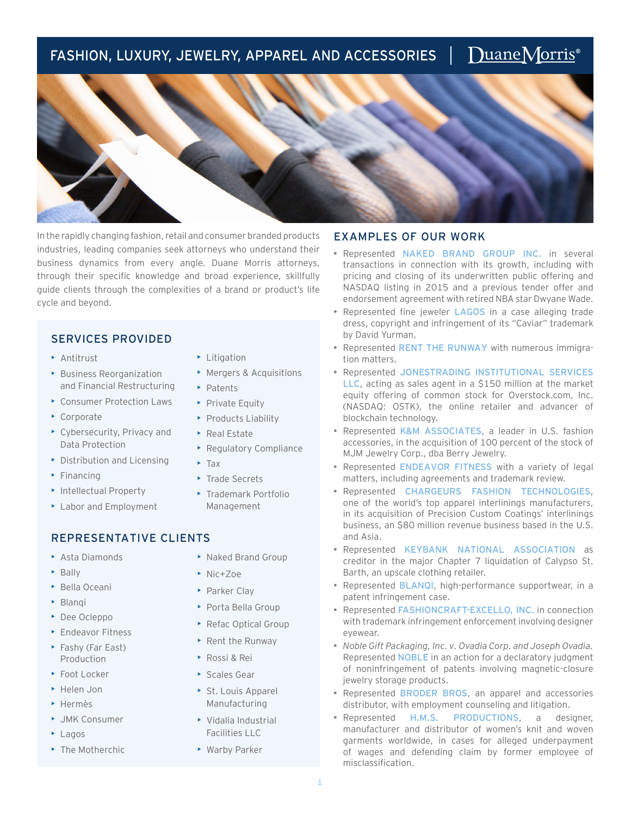# FASHION, LUXURY, JEWELRY, APPAREL AND ACCESSORIES

In the rapidly changing fashion, retail and consumer branded products industries, leading companies seek attorneys who understand their business dynamics from every angle. Duane Morris attorneys, through their specific knowledge and broad experience, skillfully guide clients through the complexities of a brand or product's life cycle and beyond.

### SERVICES PROVIDED

- Antitrust
- Business Reorganization and Financial Restructuring
- Consumer Protection Laws
- Corporate
- Cybersecurity, Privacy and Data Protection
- Distribution and Licensing
- Financing
- Intellectual Property
- ▶ Labor and Employment

### REPRESENTATIVE CLIENTS

- Asta Diamonds
- Bally
- Bella Oceani
- Blanqi
- Dee Ocleppo
- Endeavor Fitness
- Fashy (Far East) Production
- Foot Locker
- Helen Jon
- Hermès
- JMK Consumer
- Lagos
- The Motherchic
- Litigation
- Mergers & Acquisitions
- Patents
- **Private Equity**
- Products Liability
- Real Estate
- Regulatory Compliance
- Tax
- Trade Secrets
- Trademark Portfolio Management

## EXAMPLES OF OUR WORK

• Represented NAKED BRAND GROUP INC. in several transactions in connection with its growth, including with pricing and closing of its underwritten public offering and NASDAQ listing in 2015 and a previous tender offer and endorsement agreement with retired NBA star Dwyane Wade.

DuaneMorris<sup>®</sup>

- Represented fine jeweler LAGOS in a case alleging trade dress, copyright and infringement of its "Caviar" trademark by David Yurman.
- Represented RENT THE RUNWAY with numerous immigration matters.
- Represented JONESTRADING INSTITUTIONAL SERVICES LLC, acting as sales agent in a \$150 million at the market equity offering of common stock for Overstock.com, Inc. (NASDAQ: OSTK), the online retailer and advancer of blockchain technology.
- Represented K&M ASSOCIATES, a leader in U.S. fashion accessories, in the acquisition of 100 percent of the stock of MJM Jewelry Corp., dba Berry Jewelry.
- Represented ENDEAVOR FITNESS with a variety of legal matters, including agreements and trademark review.
- Represented CHARGEURS FASHION TECHNOLOGIES, one of the world's top apparel interlinings manufacturers, in its acquisition of Precision Custom Coatings' interlinings business, an \$80 million revenue business based in the U.S. and Asia.
- Represented KEYBANK NATIONAL ASSOCIATION as creditor in the major Chapter 7 liquidation of Calypso St. Barth, an upscale clothing retailer.
- Represented BLANQI, high-performance supportwear, in a patent infringement case.
- Represented FASHIONCRAFT-EXCELLO, INC. in connection with trademark infringement enforcement involving designer eyewear.
- *Noble Gift Packaging, Inc. v. Ovadia Corp. and Joseph Ovadia.*  Represented NOBLE in an action for a declaratory judgment of noninfringement of patents involving magnetic-closure jewelry storage products.
- Represented BRODER BROS, an apparel and accessories distributor, with employment counseling and litigation.
- Represented H.M.S. PRODUCTIONS, a designer, manufacturer and distributor of women's knit and woven garments worldwide, in cases for alleged underpayment of wages and defending claim by former employee of misclassification.
- 
- -

• Naked Brand Group

• Porta Bella Group • Refac Optical Group • Rent the Runway

• Nic+Zoe • Parker Clay

• Rossi & Rei • Scales Gear • St. Louis Apparel Manufacturing • Vidalia Industrial Facilities LLC • Warby Parker